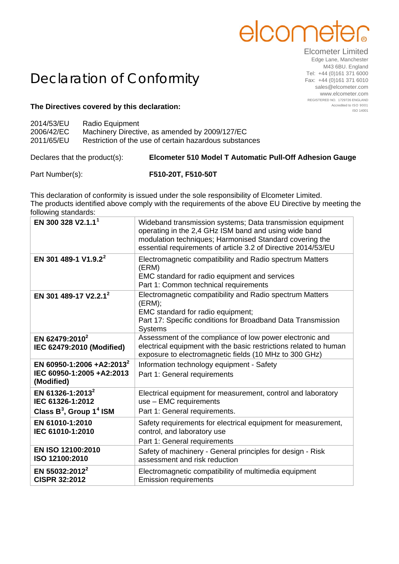## elcome

Elcometer Limited

## Declaration of Conformity

**The Directives covered by this declaration:**

| 2014/53/EU<br>2006/42/EC<br>2011/65/EU | Radio Equipment<br>Machinery Directive, as amended by 2009/127/EC<br>Restriction of the use of certain hazardous substances |  |
|----------------------------------------|-----------------------------------------------------------------------------------------------------------------------------|--|
|                                        |                                                                                                                             |  |

Declares that the product(s): **Elcometer 510 Model T Automatic Pull-Off Adhesion Gauge**

Part Number(s): **F510-20T, F510-50T**

This declaration of conformity is issued under the sole responsibility of Elcometer Limited. The products identified above comply with the requirements of the above EU Directive by meeting the following standards:

| EN 300 328 V2.1.1 <sup>1</sup>                                                             | Wideband transmission systems; Data transmission equipment<br>operating in the 2,4 GHz ISM band and using wide band<br>modulation techniques; Harmonised Standard covering the<br>essential requirements of article 3.2 of Directive 2014/53/EU |
|--------------------------------------------------------------------------------------------|-------------------------------------------------------------------------------------------------------------------------------------------------------------------------------------------------------------------------------------------------|
| EN 301 489-1 V1.9.2 <sup>2</sup>                                                           | Electromagnetic compatibility and Radio spectrum Matters<br>(ERM)<br>EMC standard for radio equipment and services<br>Part 1: Common technical requirements                                                                                     |
| EN 301 489-17 V2.2.1 <sup>2</sup>                                                          | Electromagnetic compatibility and Radio spectrum Matters<br>(ERM);<br>EMC standard for radio equipment;<br>Part 17: Specific conditions for Broadband Data Transmission<br><b>Systems</b>                                                       |
| EN 62479:2010 <sup>2</sup><br>IEC 62479:2010 (Modified)                                    | Assessment of the compliance of low power electronic and<br>electrical equipment with the basic restrictions related to human<br>exposure to electromagnetic fields (10 MHz to 300 GHz)                                                         |
| EN 60950-1:2006 +A2:2013 <sup>2</sup><br>IEC 60950-1:2005 +A2:2013<br>(Modified)           | Information technology equipment - Safety<br>Part 1: General requirements                                                                                                                                                                       |
| EN 61326-1:2013 <sup>2</sup><br>IEC 61326-1:2012<br>Class $B^3$ , Group 1 <sup>4</sup> ISM | Electrical equipment for measurement, control and laboratory<br>use - EMC requirements<br>Part 1: General requirements.                                                                                                                         |
| EN 61010-1:2010<br>IEC 61010-1:2010                                                        | Safety requirements for electrical equipment for measurement,<br>control, and laboratory use<br>Part 1: General requirements                                                                                                                    |
| EN ISO 12100:2010<br>ISO 12100:2010                                                        | Safety of machinery - General principles for design - Risk<br>assessment and risk reduction                                                                                                                                                     |
| EN 55032:2012 <sup>2</sup><br><b>CISPR 32:2012</b>                                         | Electromagnetic compatibility of multimedia equipment<br><b>Emission requirements</b>                                                                                                                                                           |

Edge Lane, Manchester M43 6BU. England Tel: +44 (0)161 371 6000 Fax: +44 (0)161 371 6010 sales@elcometer.com www.elcometer.com REGISTERED NO. 1729726 ENGLAND Accredited to ISO 9001 ISO 14001